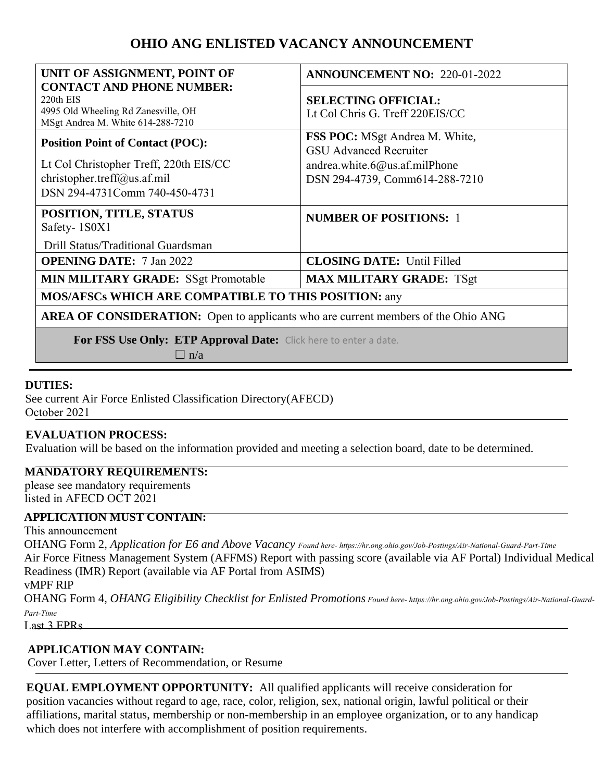# **OHIO ANG ENLISTED VACANCY ANNOUNCEMENT**

| UNIT OF ASSIGNMENT, POINT OF                                                                                              | <b>ANNOUNCEMENT NO: 220-01-2022</b>                                                                     |
|---------------------------------------------------------------------------------------------------------------------------|---------------------------------------------------------------------------------------------------------|
| <b>CONTACT AND PHONE NUMBER:</b><br>220th EIS<br>4995 Old Wheeling Rd Zanesville, OH<br>MSgt Andrea M. White 614-288-7210 | <b>SELECTING OFFICIAL:</b><br>Lt Col Chris G. Treff 220EIS/CC                                           |
| <b>Position Point of Contact (POC):</b><br>Lt Col Christopher Treff, 220th EIS/CC                                         | <b>FSS POC:</b> MSgt Andrea M. White,<br><b>GSU Advanced Recruiter</b><br>andrea.white.6@us.af.milPhone |
| christopher.treff@us.af.mil<br>DSN 294-4731Comm 740-450-4731                                                              | DSN 294-4739, Comm614-288-7210                                                                          |
| POSITION, TITLE, STATUS<br>Safety-1S0X1                                                                                   | <b>NUMBER OF POSITIONS: 1</b>                                                                           |
| Drill Status/Traditional Guardsman                                                                                        |                                                                                                         |
| <b>OPENING DATE:</b> 7 Jan 2022                                                                                           | <b>CLOSING DATE:</b> Until Filled                                                                       |
| <b>MIN MILITARY GRADE:</b> SSgt Promotable                                                                                | <b>MAX MILITARY GRADE: TSgt</b>                                                                         |
| <b>MOS/AFSCs WHICH ARE COMPATIBLE TO THIS POSITION: any</b>                                                               |                                                                                                         |
| <b>AREA OF CONSIDERATION:</b> Open to applicants who are current members of the Ohio ANG                                  |                                                                                                         |
| For FSS Use Only: ETP Approval Date: Click here to enter a date.                                                          |                                                                                                         |

 $\Box$  n/a

# **DUTIES:**

See current Air Force Enlisted Classification Directory(AFECD) October 2021

### **EVALUATION PROCESS:**

Evaluation will be based on the information provided and meeting a selection board, date to be determined.

#### **MANDATORY REQUIREMENTS:**

please see mandatory requirements listed in AFECD OCT 2021

### **APPLICATION MUST CONTAIN:**

This announcement

OHANG Form 2, *Application for E6 and Above Vacancy Found here- https://hr.ong.ohio.gov/Job-Postings/Air-National-Guard-Part-Time* Air Force Fitness Management System (AFFMS) Report with passing score (available via AF Portal) Individual Medical Readiness (IMR) Report (available via AF Portal from ASIMS) vMPF RIP

OHANG Form 4, *OHANG Eligibility Checklist for Enlisted Promotions Found here- https://hr.ong.ohio.gov/Job-Postings/Air-National-Guard-Part-Time*

Last 3 EPRs

### **APPLICATION MAY CONTAIN:**

Cover Letter, Letters of Recommendation, or Resume

**EQUAL EMPLOYMENT OPPORTUNITY:** All qualified applicants will receive consideration for position vacancies without regard to age, race, color, religion, sex, national origin, lawful political or their affiliations, marital status, membership or non-membership in an employee organization, or to any handicap which does not interfere with accomplishment of position requirements.